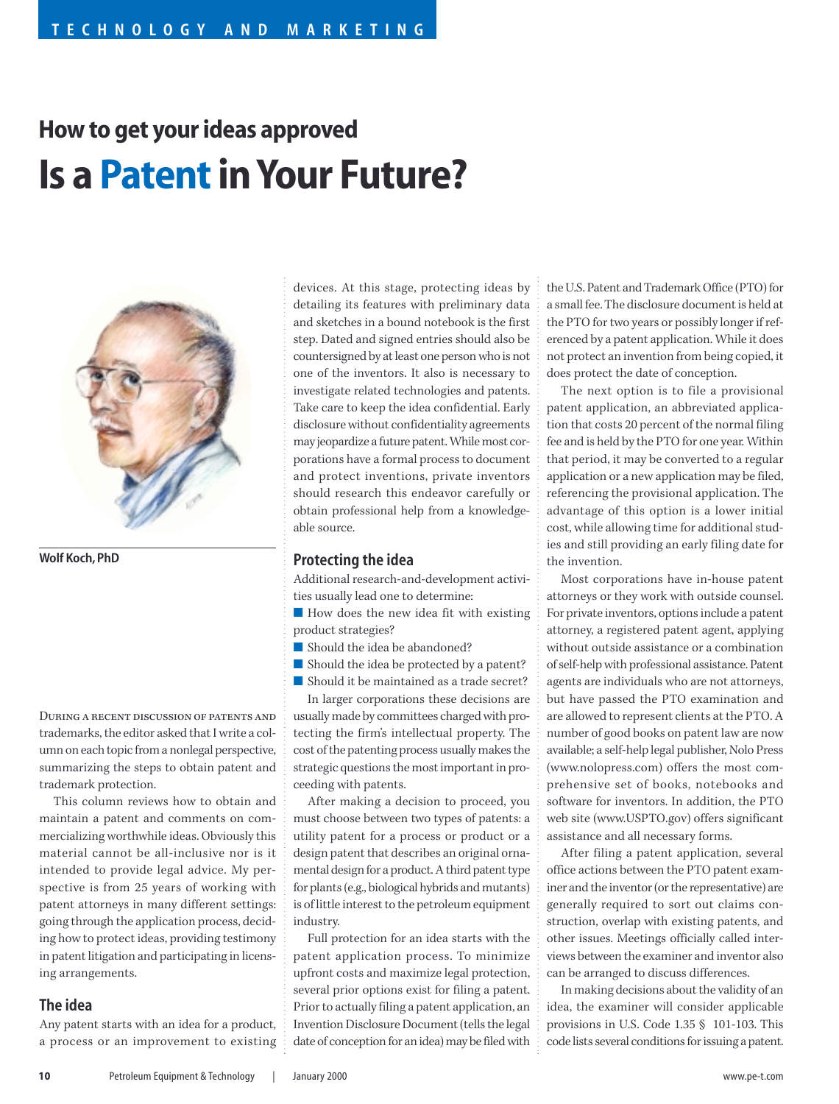# **How to get your ideas approved Is a Patent in Your Future?**



**Wolf Koch, PhD**

During a recent discussion of patents andtrademarks, the editor asked that I write a column on each topic from a nonlegal perspective, summarizing the steps to obtain patent and trademark protection.

This column reviews how to obtain and maintain a patent and comments on commercializing worthwhile ideas. Obviously this material cannot be all-inclusive nor is it intended to provide legal advice. My perspective is from 25 years of working with patent attorneys in many different settings: going through the application process, deciding how to protect ideas, providing testimony in patent litigation and participating in licensing arrangements.

#### **The idea**

Any patent starts with an idea for a product, a process or an improvement to existing devices. At this stage, protecting ideas by detailing its features with preliminary data and sketches in a bound notebook is the first step. Dated and signed entries should also be countersigned by at least one person who is not one of the inventors. It also is necessary to investigate related technologies and patents. Take care to keep the idea confidential. Early disclosure without confidentiality agreements may jeopardize a future patent. While most corporations have a formal process to document and protect inventions, private inventors should research this endeavor carefully or obtain professional help from a knowledgeable source.

#### **Protecting the idea**

Additional research-and-development activities usually lead one to determine:

■ How does the new idea fit with existing product strategies?

- Should the idea be abandoned?
- Should the idea be protected by a patent?
- Should it be maintained as a trade secret?

In larger corporations these decisions are usually made by committees charged with protecting the firm's intellectual property. The cost of the patenting process usually makes the strategic questions the most important in proceeding with patents.

After making a decision to proceed, you must choose between two types of patents: a utility patent for a process or product or a design patent that describes an original ornamental design for a product. A third patent type for plants (e.g., biological hybrids and mutants) is of little interest to the petroleum equipment industry.

Full protection for an idea starts with the patent application process. To minimize upfront costs and maximize legal protection, several prior options exist for filing a patent. Prior to actually filing a patent application, an Invention Disclosure Document (tells the legal date of conception for an idea) may be filed with the U.S. Patent and Trademark Office (PTO) for a small fee. The disclosure document is held at the PTO for two years or possibly longer if referenced by a patent application. While it does not protect an invention from being copied, it does protect the date of conception.

The next option is to file a provisional patent application, an abbreviated application that costs 20 percent of the normal filing fee and is held by the PTO for one year. Within that period, it may be converted to a regular application or a new application may be filed, referencing the provisional application. The advantage of this option is a lower initial cost, while allowing time for additional studies and still providing an early filing date for the invention.

Most corporations have in-house patent attorneys or they work with outside counsel. For private inventors, options include a patent attorney, a registered patent agent, applying without outside assistance or a combination of self-help with professional assistance. Patent agents are individuals who are not attorneys, but have passed the PTO examination and are allowed to represent clients at the PTO. A number of good books on patent law are now available; a self-help legal publisher, Nolo Press (www.nolopress.com) offers the most comprehensive set of books, notebooks and software for inventors. In addition, the PTO web site (www.USPTO.gov) offers significant assistance and all necessary forms.

After filing a patent application, several office actions between the PTO patent examiner and the inventor (or the representative) are generally required to sort out claims construction, overlap with existing patents, and other issues. Meetings officially called interviews between the examiner and inventor also can be arranged to discuss differences.

In making decisions about the validity of an idea, the examiner will consider applicable provisions in U.S. Code 1.35 § 101-103. This code lists several conditions for issuing a patent.